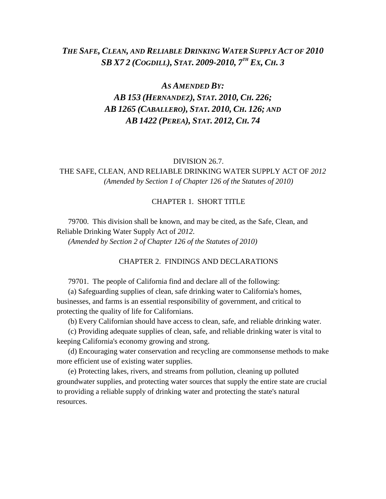# *THE SAFE, CLEAN, AND RELIABLE DRINKING WATER SUPPLY ACT OF 2010 SB X7 2 (COGDILL), STAT. 2009-2010, 7 TH EX, CH. 3*

# *AS AMENDED BY:*

# *AB 153 (HERNANDEZ), STAT. 2010, CH. 226; AB 1265 (CABALLERO), STAT. 2010, CH. 126; AND AB 1422 (PEREA), STAT. 2012, CH. 74*

#### DIVISION 26.7.

# THE SAFE, CLEAN, AND RELIABLE DRINKING WATER SUPPLY ACT OF *2012 (Amended by Section 1 of Chapter 126 of the Statutes of 2010)*

### CHAPTER 1. SHORT TITLE

79700. This division shall be known, and may be cited, as the Safe, Clean, and Reliable Drinking Water Supply Act of *2012*. *(Amended by Section 2 of Chapter 126 of the Statutes of 2010)*

CHAPTER 2. FINDINGS AND DECLARATIONS

79701. The people of California find and declare all of the following:

(a) Safeguarding supplies of clean, safe drinking water to California's homes, businesses, and farms is an essential responsibility of government, and critical to protecting the quality of life for Californians.

(b) Every Californian should have access to clean, safe, and reliable drinking water.

(c) Providing adequate supplies of clean, safe, and reliable drinking water is vital to keeping California's economy growing and strong.

(d) Encouraging water conservation and recycling are commonsense methods to make more efficient use of existing water supplies.

(e) Protecting lakes, rivers, and streams from pollution, cleaning up polluted groundwater supplies, and protecting water sources that supply the entire state are crucial to providing a reliable supply of drinking water and protecting the state's natural resources.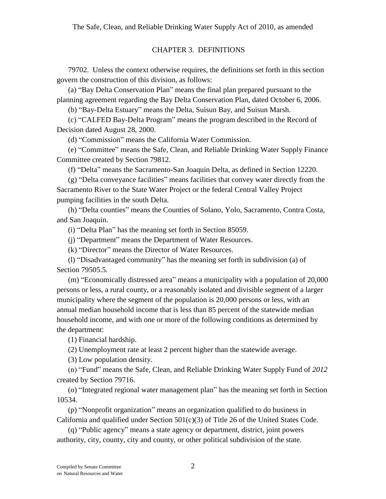## CHAPTER 3. DEFINITIONS

79702. Unless the context otherwise requires, the definitions set forth in this section govern the construction of this division, as follows:

(a) "Bay Delta Conservation Plan" means the final plan prepared pursuant to the planning agreement regarding the Bay Delta Conservation Plan, dated October 6, 2006.

(b) "Bay-Delta Estuary" means the Delta, Suisun Bay, and Suisun Marsh.

(c) "CALFED Bay-Delta Program" means the program described in the Record of Decision dated August 28, 2000.

(d) "Commission" means the California Water Commission.

(e) "Committee" means the Safe, Clean, and Reliable Drinking Water Supply Finance Committee created by Section 79812.

(f) "Delta" means the Sacramento-San Joaquin Delta, as defined in Section 12220.

(g) "Delta conveyance facilities" means facilities that convey water directly from the Sacramento River to the State Water Project or the federal Central Valley Project pumping facilities in the south Delta.

(h) "Delta counties" means the Counties of Solano, Yolo, Sacramento, Contra Costa, and San Joaquin.

(i) "Delta Plan" has the meaning set forth in Section 85059.

(j) "Department" means the Department of Water Resources.

(k) "Director" means the Director of Water Resources.

(l) "Disadvantaged community" has the meaning set forth in subdivision (a) of Section 79505.5.

(m) "Economically distressed area" means a municipality with a population of 20,000 persons or less, a rural county, or a reasonably isolated and divisible segment of a larger municipality where the segment of the population is 20,000 persons or less, with an annual median household income that is less than 85 percent of the statewide median household income, and with one or more of the following conditions as determined by the department:

(1) Financial hardship.

(2) Unemployment rate at least 2 percent higher than the statewide average.

(3) Low population density.

(n) "Fund" means the Safe, Clean, and Reliable Drinking Water Supply Fund of *2012* created by Section 79716.

(o) "Integrated regional water management plan" has the meaning set forth in Section 10534.

(p) "Nonprofit organization" means an organization qualified to do business in California and qualified under Section  $501(c)(3)$  of Title 26 of the United States Code.

(q) "Public agency" means a state agency or department, district, joint powers authority, city, county, city and county, or other political subdivision of the state.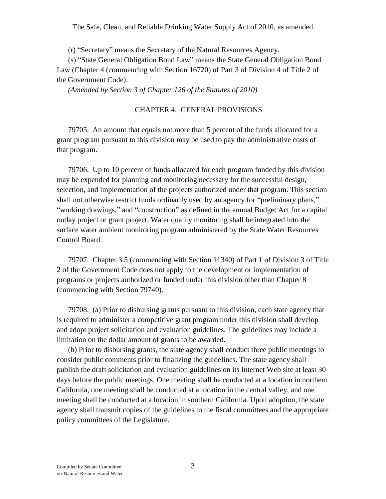(r) "Secretary" means the Secretary of the Natural Resources Agency.

(s) "State General Obligation Bond Law" means the State General Obligation Bond Law (Chapter 4 (commencing with Section 16720) of Part 3 of Division 4 of Title 2 of the Government Code).

*(Amended by Section 3 of Chapter 126 of the Statutes of 2010)*

## CHAPTER 4. GENERAL PROVISIONS

79705. An amount that equals not more than 5 percent of the funds allocated for a grant program pursuant to this division may be used to pay the administrative costs of that program.

79706. Up to 10 percent of funds allocated for each program funded by this division may be expended for planning and monitoring necessary for the successful design, selection, and implementation of the projects authorized under that program. This section shall not otherwise restrict funds ordinarily used by an agency for "preliminary plans," "working drawings," and "construction" as defined in the annual Budget Act for a capital outlay project or grant project. Water quality monitoring shall be integrated into the surface water ambient monitoring program administered by the State Water Resources Control Board.

79707. Chapter 3.5 (commencing with Section 11340) of Part 1 of Division 3 of Title 2 of the Government Code does not apply to the development or implementation of programs or projects authorized or funded under this division other than Chapter 8 (commencing with Section 79740).

79708. (a) Prior to disbursing grants pursuant to this division, each state agency that is required to administer a competitive grant program under this division shall develop and adopt project solicitation and evaluation guidelines. The guidelines may include a limitation on the dollar amount of grants to be awarded.

(b) Prior to disbursing grants, the state agency shall conduct three public meetings to consider public comments prior to finalizing the guidelines. The state agency shall publish the draft solicitation and evaluation guidelines on its Internet Web site at least 30 days before the public meetings. One meeting shall be conducted at a location in northern California, one meeting shall be conducted at a location in the central valley, and one meeting shall be conducted at a location in southern California. Upon adoption, the state agency shall transmit copies of the guidelines to the fiscal committees and the appropriate policy committees of the Legislature.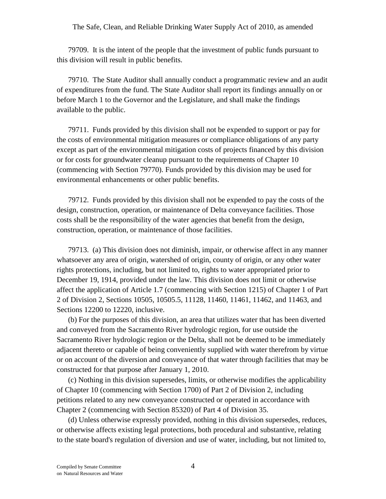79709. It is the intent of the people that the investment of public funds pursuant to this division will result in public benefits.

79710. The State Auditor shall annually conduct a programmatic review and an audit of expenditures from the fund. The State Auditor shall report its findings annually on or before March 1 to the Governor and the Legislature, and shall make the findings available to the public.

79711. Funds provided by this division shall not be expended to support or pay for the costs of environmental mitigation measures or compliance obligations of any party except as part of the environmental mitigation costs of projects financed by this division or for costs for groundwater cleanup pursuant to the requirements of Chapter 10 (commencing with Section 79770). Funds provided by this division may be used for environmental enhancements or other public benefits.

79712. Funds provided by this division shall not be expended to pay the costs of the design, construction, operation, or maintenance of Delta conveyance facilities. Those costs shall be the responsibility of the water agencies that benefit from the design, construction, operation, or maintenance of those facilities.

79713. (a) This division does not diminish, impair, or otherwise affect in any manner whatsoever any area of origin, watershed of origin, county of origin, or any other water rights protections, including, but not limited to, rights to water appropriated prior to December 19, 1914, provided under the law. This division does not limit or otherwise affect the application of Article 1.7 (commencing with Section 1215) of Chapter 1 of Part 2 of Division 2, Sections 10505, 10505.5, 11128, 11460, 11461, 11462, and 11463, and Sections 12200 to 12220, inclusive.

(b) For the purposes of this division, an area that utilizes water that has been diverted and conveyed from the Sacramento River hydrologic region, for use outside the Sacramento River hydrologic region or the Delta, shall not be deemed to be immediately adjacent thereto or capable of being conveniently supplied with water therefrom by virtue or on account of the diversion and conveyance of that water through facilities that may be constructed for that purpose after January 1, 2010.

(c) Nothing in this division supersedes, limits, or otherwise modifies the applicability of Chapter 10 (commencing with Section 1700) of Part 2 of Division 2, including petitions related to any new conveyance constructed or operated in accordance with Chapter 2 (commencing with Section 85320) of Part 4 of Division 35.

(d) Unless otherwise expressly provided, nothing in this division supersedes, reduces, or otherwise affects existing legal protections, both procedural and substantive, relating to the state board's regulation of diversion and use of water, including, but not limited to,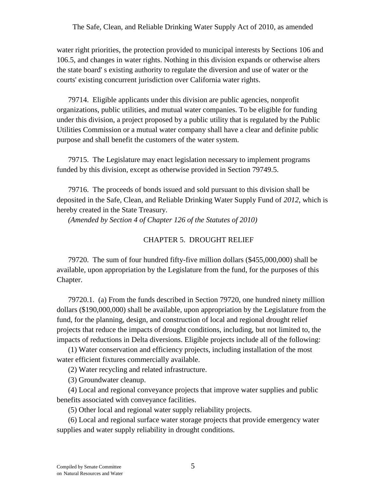water right priorities, the protection provided to municipal interests by Sections 106 and 106.5, and changes in water rights. Nothing in this division expands or otherwise alters the state board' s existing authority to regulate the diversion and use of water or the courts' existing concurrent jurisdiction over California water rights.

79714. Eligible applicants under this division are public agencies, nonprofit organizations, public utilities, and mutual water companies. To be eligible for funding under this division, a project proposed by a public utility that is regulated by the Public Utilities Commission or a mutual water company shall have a clear and definite public purpose and shall benefit the customers of the water system.

79715. The Legislature may enact legislation necessary to implement programs funded by this division, except as otherwise provided in Section 79749.5.

79716. The proceeds of bonds issued and sold pursuant to this division shall be deposited in the Safe, Clean, and Reliable Drinking Water Supply Fund of *2012*, which is hereby created in the State Treasury.

*(Amended by Section 4 of Chapter 126 of the Statutes of 2010)*

## CHAPTER 5. DROUGHT RELIEF

79720. The sum of four hundred fifty-five million dollars (\$455,000,000) shall be available, upon appropriation by the Legislature from the fund, for the purposes of this Chapter.

79720.1. (a) From the funds described in Section 79720, one hundred ninety million dollars (\$190,000,000) shall be available, upon appropriation by the Legislature from the fund, for the planning, design, and construction of local and regional drought relief projects that reduce the impacts of drought conditions, including, but not limited to, the impacts of reductions in Delta diversions. Eligible projects include all of the following:

(1) Water conservation and efficiency projects, including installation of the most water efficient fixtures commercially available.

(2) Water recycling and related infrastructure.

(3) Groundwater cleanup.

(4) Local and regional conveyance projects that improve water supplies and public benefits associated with conveyance facilities.

(5) Other local and regional water supply reliability projects.

(6) Local and regional surface water storage projects that provide emergency water supplies and water supply reliability in drought conditions.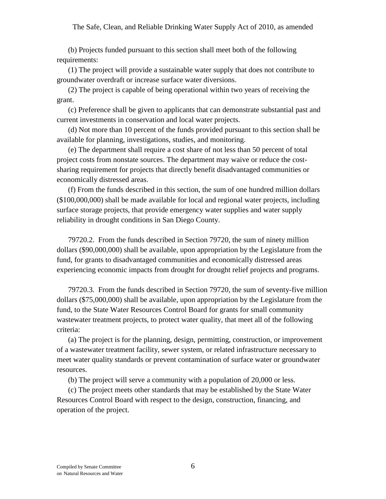(b) Projects funded pursuant to this section shall meet both of the following requirements:

(1) The project will provide a sustainable water supply that does not contribute to groundwater overdraft or increase surface water diversions.

(2) The project is capable of being operational within two years of receiving the grant.

(c) Preference shall be given to applicants that can demonstrate substantial past and current investments in conservation and local water projects.

(d) Not more than 10 percent of the funds provided pursuant to this section shall be available for planning, investigations, studies, and monitoring.

(e) The department shall require a cost share of not less than 50 percent of total project costs from nonstate sources. The department may waive or reduce the costsharing requirement for projects that directly benefit disadvantaged communities or economically distressed areas.

(f) From the funds described in this section, the sum of one hundred million dollars (\$100,000,000) shall be made available for local and regional water projects, including surface storage projects, that provide emergency water supplies and water supply reliability in drought conditions in San Diego County.

79720.2. From the funds described in Section 79720, the sum of ninety million dollars (\$90,000,000) shall be available, upon appropriation by the Legislature from the fund, for grants to disadvantaged communities and economically distressed areas experiencing economic impacts from drought for drought relief projects and programs.

79720.3. From the funds described in Section 79720, the sum of seventy-five million dollars (\$75,000,000) shall be available, upon appropriation by the Legislature from the fund, to the State Water Resources Control Board for grants for small community wastewater treatment projects, to protect water quality, that meet all of the following criteria:

(a) The project is for the planning, design, permitting, construction, or improvement of a wastewater treatment facility, sewer system, or related infrastructure necessary to meet water quality standards or prevent contamination of surface water or groundwater resources.

(b) The project will serve a community with a population of 20,000 or less.

(c) The project meets other standards that may be established by the State Water Resources Control Board with respect to the design, construction, financing, and operation of the project.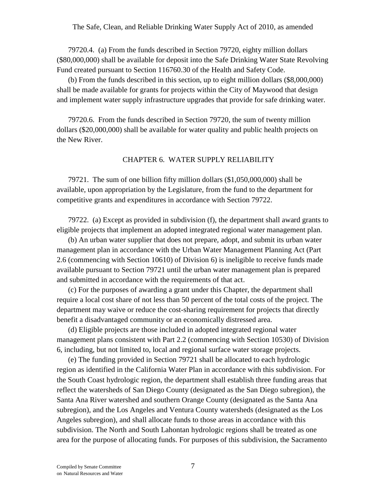79720.4. (a) From the funds described in Section 79720, eighty million dollars (\$80,000,000) shall be available for deposit into the Safe Drinking Water State Revolving Fund created pursuant to Section 116760.30 of the Health and Safety Code.

(b) From the funds described in this section, up to eight million dollars (\$8,000,000) shall be made available for grants for projects within the City of Maywood that design and implement water supply infrastructure upgrades that provide for safe drinking water.

79720.6. From the funds described in Section 79720, the sum of twenty million dollars (\$20,000,000) shall be available for water quality and public health projects on the New River.

## CHAPTER 6. WATER SUPPLY RELIABILITY

79721. The sum of one billion fifty million dollars (\$1,050,000,000) shall be available, upon appropriation by the Legislature, from the fund to the department for competitive grants and expenditures in accordance with Section 79722.

79722. (a) Except as provided in subdivision (f), the department shall award grants to eligible projects that implement an adopted integrated regional water management plan.

(b) An urban water supplier that does not prepare, adopt, and submit its urban water management plan in accordance with the Urban Water Management Planning Act (Part 2.6 (commencing with Section 10610) of Division 6) is ineligible to receive funds made available pursuant to Section 79721 until the urban water management plan is prepared and submitted in accordance with the requirements of that act.

(c) For the purposes of awarding a grant under this Chapter, the department shall require a local cost share of not less than 50 percent of the total costs of the project. The department may waive or reduce the cost-sharing requirement for projects that directly benefit a disadvantaged community or an economically distressed area.

(d) Eligible projects are those included in adopted integrated regional water management plans consistent with Part 2.2 (commencing with Section 10530) of Division 6, including, but not limited to, local and regional surface water storage projects.

(e) The funding provided in Section 79721 shall be allocated to each hydrologic region as identified in the California Water Plan in accordance with this subdivision. For the South Coast hydrologic region, the department shall establish three funding areas that reflect the watersheds of San Diego County (designated as the San Diego subregion), the Santa Ana River watershed and southern Orange County (designated as the Santa Ana subregion), and the Los Angeles and Ventura County watersheds (designated as the Los Angeles subregion), and shall allocate funds to those areas in accordance with this subdivision. The North and South Lahontan hydrologic regions shall be treated as one area for the purpose of allocating funds. For purposes of this subdivision, the Sacramento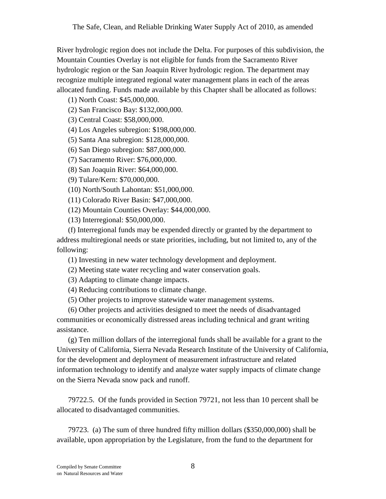River hydrologic region does not include the Delta. For purposes of this subdivision, the Mountain Counties Overlay is not eligible for funds from the Sacramento River hydrologic region or the San Joaquin River hydrologic region. The department may recognize multiple integrated regional water management plans in each of the areas allocated funding. Funds made available by this Chapter shall be allocated as follows:

(1) North Coast: \$45,000,000.

(2) San Francisco Bay: \$132,000,000.

(3) Central Coast: \$58,000,000.

(4) Los Angeles subregion: \$198,000,000.

(5) Santa Ana subregion: \$128,000,000.

(6) San Diego subregion: \$87,000,000.

(7) Sacramento River: \$76,000,000.

(8) San Joaquin River: \$64,000,000.

(9) Tulare/Kern: \$70,000,000.

(10) North/South Lahontan: \$51,000,000.

(11) Colorado River Basin: \$47,000,000.

(12) Mountain Counties Overlay: \$44,000,000.

(13) Interregional: \$50,000,000.

(f) Interregional funds may be expended directly or granted by the department to address multiregional needs or state priorities, including, but not limited to, any of the following:

(1) Investing in new water technology development and deployment.

(2) Meeting state water recycling and water conservation goals.

(3) Adapting to climate change impacts.

(4) Reducing contributions to climate change.

(5) Other projects to improve statewide water management systems.

(6) Other projects and activities designed to meet the needs of disadvantaged communities or economically distressed areas including technical and grant writing assistance.

(g) Ten million dollars of the interregional funds shall be available for a grant to the University of California, Sierra Nevada Research Institute of the University of California, for the development and deployment of measurement infrastructure and related information technology to identify and analyze water supply impacts of climate change on the Sierra Nevada snow pack and runoff.

79722.5. Of the funds provided in Section 79721, not less than 10 percent shall be allocated to disadvantaged communities.

79723. (a) The sum of three hundred fifty million dollars (\$350,000,000) shall be available, upon appropriation by the Legislature, from the fund to the department for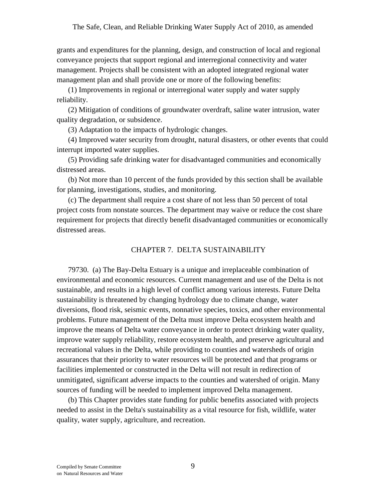grants and expenditures for the planning, design, and construction of local and regional conveyance projects that support regional and interregional connectivity and water management. Projects shall be consistent with an adopted integrated regional water management plan and shall provide one or more of the following benefits:

(1) Improvements in regional or interregional water supply and water supply reliability.

(2) Mitigation of conditions of groundwater overdraft, saline water intrusion, water quality degradation, or subsidence.

(3) Adaptation to the impacts of hydrologic changes.

(4) Improved water security from drought, natural disasters, or other events that could interrupt imported water supplies.

(5) Providing safe drinking water for disadvantaged communities and economically distressed areas.

(b) Not more than 10 percent of the funds provided by this section shall be available for planning, investigations, studies, and monitoring.

(c) The department shall require a cost share of not less than 50 percent of total project costs from nonstate sources. The department may waive or reduce the cost share requirement for projects that directly benefit disadvantaged communities or economically distressed areas.

#### CHAPTER 7. DELTA SUSTAINABILITY

79730. (a) The Bay-Delta Estuary is a unique and irreplaceable combination of environmental and economic resources. Current management and use of the Delta is not sustainable, and results in a high level of conflict among various interests. Future Delta sustainability is threatened by changing hydrology due to climate change, water diversions, flood risk, seismic events, nonnative species, toxics, and other environmental problems. Future management of the Delta must improve Delta ecosystem health and improve the means of Delta water conveyance in order to protect drinking water quality, improve water supply reliability, restore ecosystem health, and preserve agricultural and recreational values in the Delta, while providing to counties and watersheds of origin assurances that their priority to water resources will be protected and that programs or facilities implemented or constructed in the Delta will not result in redirection of unmitigated, significant adverse impacts to the counties and watershed of origin. Many sources of funding will be needed to implement improved Delta management.

(b) This Chapter provides state funding for public benefits associated with projects needed to assist in the Delta's sustainability as a vital resource for fish, wildlife, water quality, water supply, agriculture, and recreation.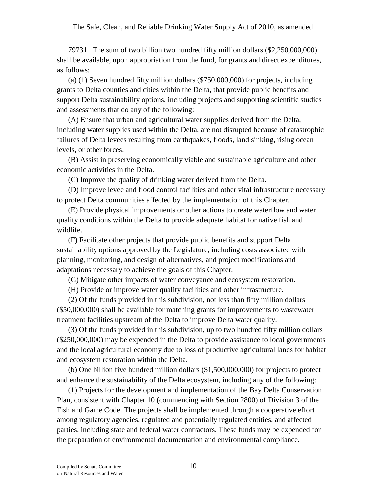79731. The sum of two billion two hundred fifty million dollars (\$2,250,000,000) shall be available, upon appropriation from the fund, for grants and direct expenditures, as follows:

(a) (1) Seven hundred fifty million dollars (\$750,000,000) for projects, including grants to Delta counties and cities within the Delta, that provide public benefits and support Delta sustainability options, including projects and supporting scientific studies and assessments that do any of the following:

(A) Ensure that urban and agricultural water supplies derived from the Delta, including water supplies used within the Delta, are not disrupted because of catastrophic failures of Delta levees resulting from earthquakes, floods, land sinking, rising ocean levels, or other forces.

(B) Assist in preserving economically viable and sustainable agriculture and other economic activities in the Delta.

(C) Improve the quality of drinking water derived from the Delta.

(D) Improve levee and flood control facilities and other vital infrastructure necessary to protect Delta communities affected by the implementation of this Chapter.

(E) Provide physical improvements or other actions to create waterflow and water quality conditions within the Delta to provide adequate habitat for native fish and wildlife.

(F) Facilitate other projects that provide public benefits and support Delta sustainability options approved by the Legislature, including costs associated with planning, monitoring, and design of alternatives, and project modifications and adaptations necessary to achieve the goals of this Chapter.

(G) Mitigate other impacts of water conveyance and ecosystem restoration.

(H) Provide or improve water quality facilities and other infrastructure.

(2) Of the funds provided in this subdivision, not less than fifty million dollars (\$50,000,000) shall be available for matching grants for improvements to wastewater treatment facilities upstream of the Delta to improve Delta water quality.

(3) Of the funds provided in this subdivision, up to two hundred fifty million dollars (\$250,000,000) may be expended in the Delta to provide assistance to local governments and the local agricultural economy due to loss of productive agricultural lands for habitat and ecosystem restoration within the Delta.

(b) One billion five hundred million dollars (\$1,500,000,000) for projects to protect and enhance the sustainability of the Delta ecosystem, including any of the following:

(1) Projects for the development and implementation of the Bay Delta Conservation Plan, consistent with Chapter 10 (commencing with Section 2800) of Division 3 of the Fish and Game Code. The projects shall be implemented through a cooperative effort among regulatory agencies, regulated and potentially regulated entities, and affected parties, including state and federal water contractors. These funds may be expended for the preparation of environmental documentation and environmental compliance.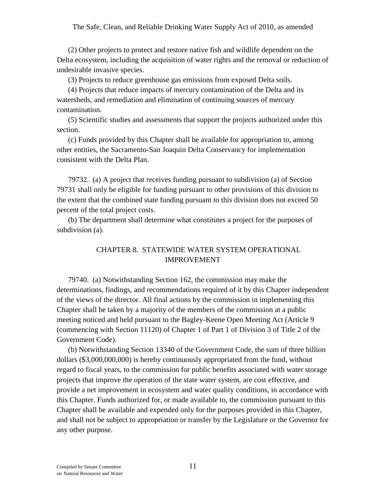(2) Other projects to protect and restore native fish and wildlife dependent on the Delta ecosystem, including the acquisition of water rights and the removal or reduction of undesirable invasive species.

(3) Projects to reduce greenhouse gas emissions from exposed Delta soils.

(4) Projects that reduce impacts of mercury contamination of the Delta and its watersheds, and remediation and elimination of continuing sources of mercury contamination.

(5) Scientific studies and assessments that support the projects authorized under this section.

(c) Funds provided by this Chapter shall be available for appropriation to, among other entities, the Sacramento-San Joaquin Delta Conservancy for implementation consistent with the Delta Plan.

79732. (a) A project that receives funding pursuant to subdivision (a) of Section 79731 shall only be eligible for funding pursuant to other provisions of this division to the extent that the combined state funding pursuant to this division does not exceed 50 percent of the total project costs.

(b) The department shall determine what constitutes a project for the purposes of subdivision (a).

# CHAPTER 8. STATEWIDE WATER SYSTEM OPERATIONAL IMPROVEMENT

79740. (a) Notwithstanding Section 162, the commission may make the determinations, findings, and recommendations required of it by this Chapter independent of the views of the director. All final actions by the commission in implementing this Chapter shall be taken by a majority of the members of the commission at a public meeting noticed and held pursuant to the Bagley-Keene Open Meeting Act (Article 9 (commencing with Section 11120) of Chapter 1 of Part 1 of Division 3 of Title 2 of the Government Code).

(b) Notwithstanding Section 13340 of the Government Code, the sum of three billion dollars (\$3,000,000,000) is hereby continuously appropriated from the fund, without regard to fiscal years, to the commission for public benefits associated with water storage projects that improve the operation of the state water system, are cost effective, and provide a net improvement in ecosystem and water quality conditions, in accordance with this Chapter. Funds authorized for, or made available to, the commission pursuant to this Chapter shall be available and expended only for the purposes provided in this Chapter, and shall not be subject to appropriation or transfer by the Legislature or the Governor for any other purpose.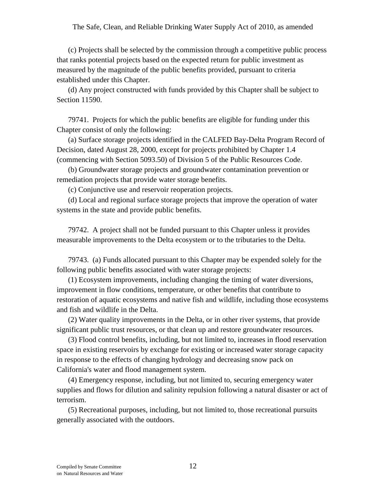(c) Projects shall be selected by the commission through a competitive public process that ranks potential projects based on the expected return for public investment as measured by the magnitude of the public benefits provided, pursuant to criteria established under this Chapter.

(d) Any project constructed with funds provided by this Chapter shall be subject to Section 11590.

79741. Projects for which the public benefits are eligible for funding under this Chapter consist of only the following:

(a) Surface storage projects identified in the CALFED Bay-Delta Program Record of Decision, dated August 28, 2000, except for projects prohibited by Chapter 1.4 (commencing with Section 5093.50) of Division 5 of the Public Resources Code.

(b) Groundwater storage projects and groundwater contamination prevention or remediation projects that provide water storage benefits.

(c) Conjunctive use and reservoir reoperation projects.

(d) Local and regional surface storage projects that improve the operation of water systems in the state and provide public benefits.

79742. A project shall not be funded pursuant to this Chapter unless it provides measurable improvements to the Delta ecosystem or to the tributaries to the Delta.

79743. (a) Funds allocated pursuant to this Chapter may be expended solely for the following public benefits associated with water storage projects:

(1) Ecosystem improvements, including changing the timing of water diversions, improvement in flow conditions, temperature, or other benefits that contribute to restoration of aquatic ecosystems and native fish and wildlife, including those ecosystems and fish and wildlife in the Delta.

(2) Water quality improvements in the Delta, or in other river systems, that provide significant public trust resources, or that clean up and restore groundwater resources.

(3) Flood control benefits, including, but not limited to, increases in flood reservation space in existing reservoirs by exchange for existing or increased water storage capacity in response to the effects of changing hydrology and decreasing snow pack on California's water and flood management system.

(4) Emergency response, including, but not limited to, securing emergency water supplies and flows for dilution and salinity repulsion following a natural disaster or act of terrorism.

(5) Recreational purposes, including, but not limited to, those recreational pursuits generally associated with the outdoors.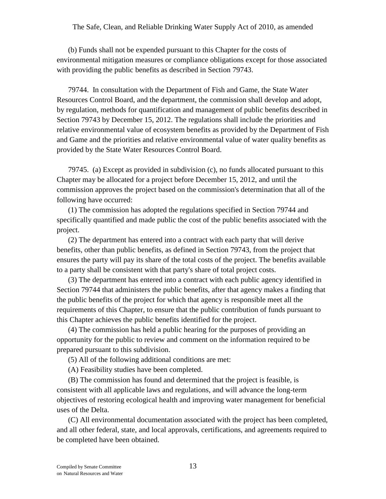(b) Funds shall not be expended pursuant to this Chapter for the costs of environmental mitigation measures or compliance obligations except for those associated with providing the public benefits as described in Section 79743.

79744. In consultation with the Department of Fish and Game, the State Water Resources Control Board, and the department, the commission shall develop and adopt, by regulation, methods for quantification and management of public benefits described in Section 79743 by December 15, 2012. The regulations shall include the priorities and relative environmental value of ecosystem benefits as provided by the Department of Fish and Game and the priorities and relative environmental value of water quality benefits as provided by the State Water Resources Control Board.

79745. (a) Except as provided in subdivision (c), no funds allocated pursuant to this Chapter may be allocated for a project before December 15, 2012, and until the commission approves the project based on the commission's determination that all of the following have occurred:

(1) The commission has adopted the regulations specified in Section 79744 and specifically quantified and made public the cost of the public benefits associated with the project.

(2) The department has entered into a contract with each party that will derive benefits, other than public benefits, as defined in Section 79743, from the project that ensures the party will pay its share of the total costs of the project. The benefits available to a party shall be consistent with that party's share of total project costs.

(3) The department has entered into a contract with each public agency identified in Section 79744 that administers the public benefits, after that agency makes a finding that the public benefits of the project for which that agency is responsible meet all the requirements of this Chapter, to ensure that the public contribution of funds pursuant to this Chapter achieves the public benefits identified for the project.

(4) The commission has held a public hearing for the purposes of providing an opportunity for the public to review and comment on the information required to be prepared pursuant to this subdivision.

(5) All of the following additional conditions are met:

(A) Feasibility studies have been completed.

(B) The commission has found and determined that the project is feasible, is consistent with all applicable laws and regulations, and will advance the long-term objectives of restoring ecological health and improving water management for beneficial uses of the Delta.

(C) All environmental documentation associated with the project has been completed, and all other federal, state, and local approvals, certifications, and agreements required to be completed have been obtained.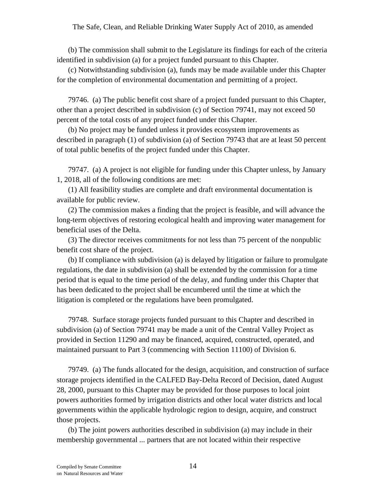(b) The commission shall submit to the Legislature its findings for each of the criteria identified in subdivision (a) for a project funded pursuant to this Chapter.

(c) Notwithstanding subdivision (a), funds may be made available under this Chapter for the completion of environmental documentation and permitting of a project.

79746. (a) The public benefit cost share of a project funded pursuant to this Chapter, other than a project described in subdivision (c) of Section 79741, may not exceed 50 percent of the total costs of any project funded under this Chapter.

(b) No project may be funded unless it provides ecosystem improvements as described in paragraph (1) of subdivision (a) of Section 79743 that are at least 50 percent of total public benefits of the project funded under this Chapter.

79747. (a) A project is not eligible for funding under this Chapter unless, by January 1, 2018, all of the following conditions are met:

(1) All feasibility studies are complete and draft environmental documentation is available for public review.

(2) The commission makes a finding that the project is feasible, and will advance the long-term objectives of restoring ecological health and improving water management for beneficial uses of the Delta.

(3) The director receives commitments for not less than 75 percent of the nonpublic benefit cost share of the project.

(b) If compliance with subdivision (a) is delayed by litigation or failure to promulgate regulations, the date in subdivision (a) shall be extended by the commission for a time period that is equal to the time period of the delay, and funding under this Chapter that has been dedicated to the project shall be encumbered until the time at which the litigation is completed or the regulations have been promulgated.

79748. Surface storage projects funded pursuant to this Chapter and described in subdivision (a) of Section 79741 may be made a unit of the Central Valley Project as provided in Section 11290 and may be financed, acquired, constructed, operated, and maintained pursuant to Part 3 (commencing with Section 11100) of Division 6.

79749. (a) The funds allocated for the design, acquisition, and construction of surface storage projects identified in the CALFED Bay-Delta Record of Decision, dated August 28, 2000, pursuant to this Chapter may be provided for those purposes to local joint powers authorities formed by irrigation districts and other local water districts and local governments within the applicable hydrologic region to design, acquire, and construct those projects.

(b) The joint powers authorities described in subdivision (a) may include in their membership governmental *...* partners that are not located within their respective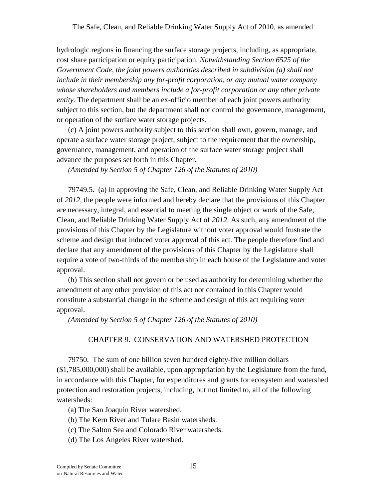hydrologic regions in financing the surface storage projects, including, as appropriate, cost share participation or equity participation. *Notwithstanding Section 6525 of the Government Code, the joint powers authorities described in subdivision (a) shall not include in their membership any for-profit corporation, or any mutual water company whose shareholders and members include a for-profit corporation or any other private entity.* The department shall be an ex-officio member of each joint powers authority subject to this section, but the department shall not control the governance, management, or operation of the surface water storage projects.

(c) A joint powers authority subject to this section shall own, govern, manage, and operate a surface water storage project, subject to the requirement that the ownership, governance, management, and operation of the surface water storage project shall advance the purposes set forth in this Chapter.

*(Amended by Section 5 of Chapter 126 of the Statutes of 2010)*

79749.5. (a) In approving the Safe, Clean, and Reliable Drinking Water Supply Act of *2012*, the people were informed and hereby declare that the provisions of this Chapter are necessary, integral, and essential to meeting the single object or work of the Safe, Clean, and Reliable Drinking Water Supply Act of *2012*. As such, any amendment of the provisions of this Chapter by the Legislature without voter approval would frustrate the scheme and design that induced voter approval of this act. The people therefore find and declare that any amendment of the provisions of this Chapter by the Legislature shall require a vote of two-thirds of the membership in each house of the Legislature and voter approval.

(b) This section shall not govern or be used as authority for determining whether the amendment of any other provision of this act not contained in this Chapter would constitute a substantial change in the scheme and design of this act requiring voter approval.

*(Amended by Section 5 of Chapter 126 of the Statutes of 2010)*

# CHAPTER 9. CONSERVATION AND WATERSHED PROTECTION

79750. The sum of one billion seven hundred eighty-five million dollars (\$1,785,000,000) shall be available, upon appropriation by the Legislature from the fund, in accordance with this Chapter, for expenditures and grants for ecosystem and watershed protection and restoration projects, including, but not limited to, all of the following watersheds:

(a) The San Joaquin River watershed.

- (b) The Kern River and Tulare Basin watersheds.
- (c) The Salton Sea and Colorado River watersheds.
- (d) The Los Angeles River watershed.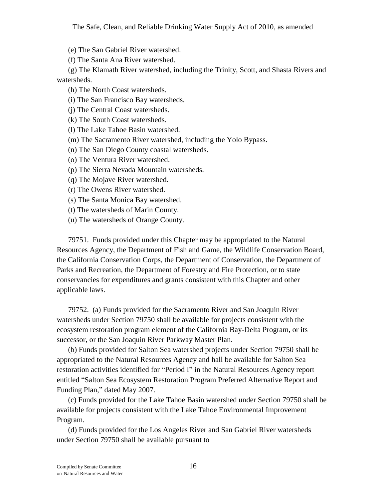(e) The San Gabriel River watershed.

(f) The Santa Ana River watershed.

(g) The Klamath River watershed, including the Trinity, Scott, and Shasta Rivers and watersheds.

(h) The North Coast watersheds.

(i) The San Francisco Bay watersheds.

(j) The Central Coast watersheds.

(k) The South Coast watersheds.

(l) The Lake Tahoe Basin watershed.

(m) The Sacramento River watershed, including the Yolo Bypass.

(n) The San Diego County coastal watersheds.

(o) The Ventura River watershed.

(p) The Sierra Nevada Mountain watersheds.

(q) The Mojave River watershed.

(r) The Owens River watershed.

(s) The Santa Monica Bay watershed.

(t) The watersheds of Marin County.

(u) The watersheds of Orange County.

79751. Funds provided under this Chapter may be appropriated to the Natural Resources Agency, the Department of Fish and Game, the Wildlife Conservation Board, the California Conservation Corps, the Department of Conservation, the Department of Parks and Recreation, the Department of Forestry and Fire Protection, or to state conservancies for expenditures and grants consistent with this Chapter and other applicable laws.

79752. (a) Funds provided for the Sacramento River and San Joaquin River watersheds under Section 79750 shall be available for projects consistent with the ecosystem restoration program element of the California Bay-Delta Program, or its successor, or the San Joaquin River Parkway Master Plan.

(b) Funds provided for Salton Sea watershed projects under Section 79750 shall be appropriated to the Natural Resources Agency and hall be available for Salton Sea restoration activities identified for "Period I" in the Natural Resources Agency report entitled "Salton Sea Ecosystem Restoration Program Preferred Alternative Report and Funding Plan," dated May 2007.

(c) Funds provided for the Lake Tahoe Basin watershed under Section 79750 shall be available for projects consistent with the Lake Tahoe Environmental Improvement Program.

(d) Funds provided for the Los Angeles River and San Gabriel River watersheds under Section 79750 shall be available pursuant to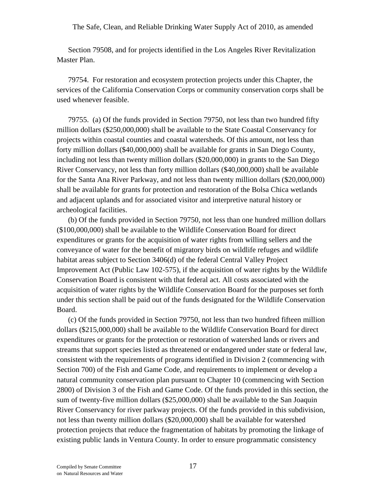Section 79508, and for projects identified in the Los Angeles River Revitalization Master Plan.

79754. For restoration and ecosystem protection projects under this Chapter, the services of the California Conservation Corps or community conservation corps shall be used whenever feasible.

79755. (a) Of the funds provided in Section 79750, not less than two hundred fifty million dollars (\$250,000,000) shall be available to the State Coastal Conservancy for projects within coastal counties and coastal watersheds. Of this amount, not less than forty million dollars (\$40,000,000) shall be available for grants in San Diego County, including not less than twenty million dollars (\$20,000,000) in grants to the San Diego River Conservancy, not less than forty million dollars (\$40,000,000) shall be available for the Santa Ana River Parkway, and not less than twenty million dollars (\$20,000,000) shall be available for grants for protection and restoration of the Bolsa Chica wetlands and adjacent uplands and for associated visitor and interpretive natural history or archeological facilities.

(b) Of the funds provided in Section 79750, not less than one hundred million dollars (\$100,000,000) shall be available to the Wildlife Conservation Board for direct expenditures or grants for the acquisition of water rights from willing sellers and the conveyance of water for the benefit of migratory birds on wildlife refuges and wildlife habitat areas subject to Section 3406(d) of the federal Central Valley Project Improvement Act (Public Law 102-575), if the acquisition of water rights by the Wildlife Conservation Board is consistent with that federal act. All costs associated with the acquisition of water rights by the Wildlife Conservation Board for the purposes set forth under this section shall be paid out of the funds designated for the Wildlife Conservation Board.

(c) Of the funds provided in Section 79750, not less than two hundred fifteen million dollars (\$215,000,000) shall be available to the Wildlife Conservation Board for direct expenditures or grants for the protection or restoration of watershed lands or rivers and streams that support species listed as threatened or endangered under state or federal law, consistent with the requirements of programs identified in Division 2 (commencing with Section 700) of the Fish and Game Code, and requirements to implement or develop a natural community conservation plan pursuant to Chapter 10 (commencing with Section 2800) of Division 3 of the Fish and Game Code. Of the funds provided in this section, the sum of twenty-five million dollars (\$25,000,000) shall be available to the San Joaquin River Conservancy for river parkway projects. Of the funds provided in this subdivision, not less than twenty million dollars (\$20,000,000) shall be available for watershed protection projects that reduce the fragmentation of habitats by promoting the linkage of existing public lands in Ventura County. In order to ensure programmatic consistency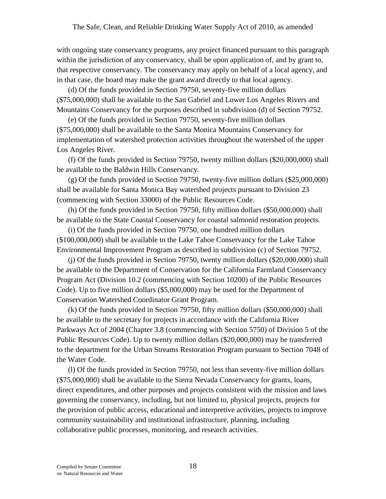with ongoing state conservancy programs, any project financed pursuant to this paragraph within the jurisdiction of any conservancy, shall be upon application of, and by grant to, that respective conservancy. The conservancy may apply on behalf of a local agency, and in that case, the board may make the grant award directly to that local agency.

(d) Of the funds provided in Section 79750, seventy-five million dollars (\$75,000,000) shall be available to the San Gabriel and Lower Los Angeles Rivers and Mountains Conservancy for the purposes described in subdivision (d) of Section 79752.

(e) Of the funds provided in Section 79750, seventy-five million dollars (\$75,000,000) shall be available to the Santa Monica Mountains Conservancy for implementation of watershed protection activities throughout the watershed of the upper Los Angeles River.

(f) Of the funds provided in Section 79750, twenty million dollars (\$20,000,000) shall be available to the Baldwin Hills Conservancy.

(g) Of the funds provided in Section 79750, twenty-five million dollars (\$25,000,000) shall be available for Santa Monica Bay watershed projects pursuant to Division 23 (commencing with Section 33000) of the Public Resources Code.

(h) Of the funds provided in Section 79750, fifty million dollars (\$50,000,000) shall be available to the State Coastal Conservancy for coastal salmonid restoration projects.

(i) Of the funds provided in Section 79750, one hundred million dollars (\$100,000,000) shall be available to the Lake Tahoe Conservancy for the Lake Tahoe Environmental Improvement Program as described in subdivision (c) of Section 79752.

(j) Of the funds provided in Section 79750, twenty million dollars (\$20,000,000) shall be available to the Department of Conservation for the California Farmland Conservancy Program Act (Division 10.2 (commencing with Section 10200) of the Public Resources Code). Up to five million dollars (\$5,000,000) may be used for the Department of Conservation Watershed Coordinator Grant Program.

(k) Of the funds provided in Section 79750, fifty million dollars (\$50,000,000) shall be available to the secretary for projects in accordance with the California River Parkways Act of 2004 (Chapter 3.8 (commencing with Section 5750) of Division 5 of the Public Resources Code). Up to twenty million dollars (\$20,000,000) may be transferred to the department for the Urban Streams Restoration Program pursuant to Section 7048 of the Water Code.

(l) Of the funds provided in Section 79750, not less than seventy-five million dollars (\$75,000,000) shall be available to the Sierra Nevada Conservancy for grants, loans, direct expenditures, and other purposes and projects consistent with the mission and laws governing the conservancy, including, but not limited to, physical projects, projects for the provision of public access, educational and interpretive activities, projects to improve community sustainability and institutional infrastructure, planning, including collaborative public processes, monitoring, and research activities.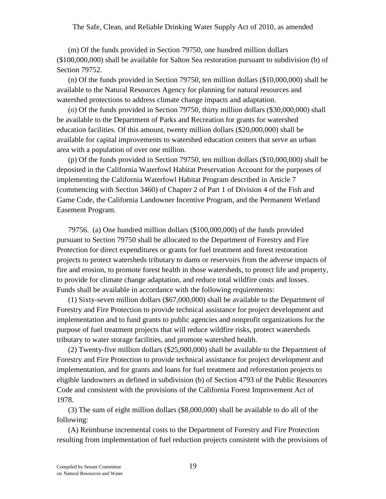(m) Of the funds provided in Section 79750, one hundred million dollars (\$100,000,000) shall be available for Salton Sea restoration pursuant to subdivision (b) of Section 79752.

(n) Of the funds provided in Section 79750, ten million dollars (\$10,000,000) shall be available to the Natural Resources Agency for planning for natural resources and watershed protections to address climate change impacts and adaptation.

(o) Of the funds provided in Section 79750, thirty million dollars (\$30,000,000) shall be available to the Department of Parks and Recreation for grants for watershed education facilities. Of this amount, twenty million dollars (\$20,000,000) shall be available for capital improvements to watershed education centers that serve an urban area with a population of over one million.

(p) Of the funds provided in Section 79750, ten million dollars (\$10,000,000) shall be deposited in the California Waterfowl Habitat Preservation Account for the purposes of implementing the California Waterfowl Habitat Program described in Article 7 (commencing with Section 3460) of Chapter 2 of Part 1 of Division 4 of the Fish and Game Code, the California Landowner Incentive Program, and the Permanent Wetland Easement Program.

79756. (a) One hundred million dollars (\$100,000,000) of the funds provided pursuant to Section 79750 shall be allocated to the Department of Forestry and Fire Protection for direct expenditures or grants for fuel treatment and forest restoration projects to protect watersheds tributary to dams or reservoirs from the adverse impacts of fire and erosion, to promote forest health in those watersheds, to protect life and property, to provide for climate change adaptation, and reduce total wildfire costs and losses. Funds shall be available in accordance with the following requirements:

(1) Sixty-seven million dollars (\$67,000,000) shall be available to the Department of Forestry and Fire Protection to provide technical assistance for project development and implementation and to fund grants to public agencies and nonprofit organizations for the purpose of fuel treatment projects that will reduce wildfire risks, protect watersheds tributary to water storage facilities, and promote watershed health.

(2) Twenty-five million dollars (\$25,000,000) shall be available to the Department of Forestry and Fire Protection to provide technical assistance for project development and implementation, and for grants and loans for fuel treatment and reforestation projects to eligible landowners as defined in subdivision (b) of Section 4793 of the Public Resources Code and consistent with the provisions of the California Forest Improvement Act of 1978.

(3) The sum of eight million dollars (\$8,000,000) shall be available to do all of the following:

(A) Reimburse incremental costs to the Department of Forestry and Fire Protection resulting from implementation of fuel reduction projects consistent with the provisions of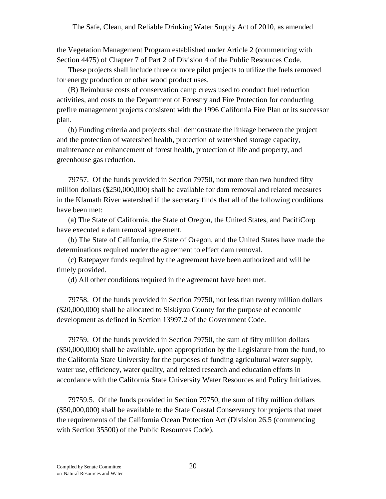the Vegetation Management Program established under Article 2 (commencing with Section 4475) of Chapter 7 of Part 2 of Division 4 of the Public Resources Code.

These projects shall include three or more pilot projects to utilize the fuels removed for energy production or other wood product uses.

(B) Reimburse costs of conservation camp crews used to conduct fuel reduction activities, and costs to the Department of Forestry and Fire Protection for conducting prefire management projects consistent with the 1996 California Fire Plan or its successor plan.

(b) Funding criteria and projects shall demonstrate the linkage between the project and the protection of watershed health, protection of watershed storage capacity, maintenance or enhancement of forest health, protection of life and property, and greenhouse gas reduction.

79757. Of the funds provided in Section 79750, not more than two hundred fifty million dollars (\$250,000,000) shall be available for dam removal and related measures in the Klamath River watershed if the secretary finds that all of the following conditions have been met:

(a) The State of California, the State of Oregon, the United States, and PacifiCorp have executed a dam removal agreement.

(b) The State of California, the State of Oregon, and the United States have made the determinations required under the agreement to effect dam removal.

(c) Ratepayer funds required by the agreement have been authorized and will be timely provided.

(d) All other conditions required in the agreement have been met.

79758. Of the funds provided in Section 79750, not less than twenty million dollars (\$20,000,000) shall be allocated to Siskiyou County for the purpose of economic development as defined in Section 13997.2 of the Government Code.

79759. Of the funds provided in Section 79750, the sum of fifty million dollars (\$50,000,000) shall be available, upon appropriation by the Legislature from the fund, to the California State University for the purposes of funding agricultural water supply, water use, efficiency, water quality, and related research and education efforts in accordance with the California State University Water Resources and Policy Initiatives.

79759.5. Of the funds provided in Section 79750, the sum of fifty million dollars (\$50,000,000) shall be available to the State Coastal Conservancy for projects that meet the requirements of the California Ocean Protection Act (Division 26.5 (commencing with Section 35500) of the Public Resources Code).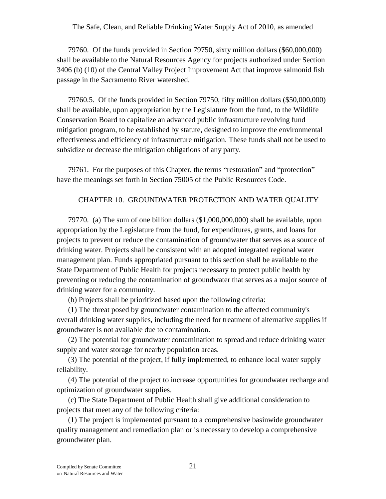79760. Of the funds provided in Section 79750, sixty million dollars (\$60,000,000) shall be available to the Natural Resources Agency for projects authorized under Section 3406 (b) (10) of the Central Valley Project Improvement Act that improve salmonid fish passage in the Sacramento River watershed.

79760.5. Of the funds provided in Section 79750, fifty million dollars (\$50,000,000) shall be available, upon appropriation by the Legislature from the fund, to the Wildlife Conservation Board to capitalize an advanced public infrastructure revolving fund mitigation program, to be established by statute, designed to improve the environmental effectiveness and efficiency of infrastructure mitigation. These funds shall not be used to subsidize or decrease the mitigation obligations of any party.

79761. For the purposes of this Chapter, the terms "restoration" and "protection" have the meanings set forth in Section 75005 of the Public Resources Code.

#### CHAPTER 10. GROUNDWATER PROTECTION AND WATER QUALITY

79770. (a) The sum of one billion dollars (\$1,000,000,000) shall be available, upon appropriation by the Legislature from the fund, for expenditures, grants, and loans for projects to prevent or reduce the contamination of groundwater that serves as a source of drinking water. Projects shall be consistent with an adopted integrated regional water management plan. Funds appropriated pursuant to this section shall be available to the State Department of Public Health for projects necessary to protect public health by preventing or reducing the contamination of groundwater that serves as a major source of drinking water for a community.

(b) Projects shall be prioritized based upon the following criteria:

(1) The threat posed by groundwater contamination to the affected community's overall drinking water supplies, including the need for treatment of alternative supplies if groundwater is not available due to contamination.

(2) The potential for groundwater contamination to spread and reduce drinking water supply and water storage for nearby population areas.

(3) The potential of the project, if fully implemented, to enhance local water supply reliability.

(4) The potential of the project to increase opportunities for groundwater recharge and optimization of groundwater supplies.

(c) The State Department of Public Health shall give additional consideration to projects that meet any of the following criteria:

(1) The project is implemented pursuant to a comprehensive basinwide groundwater quality management and remediation plan or is necessary to develop a comprehensive groundwater plan.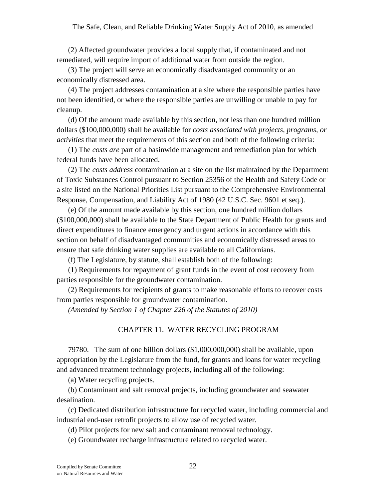(2) Affected groundwater provides a local supply that, if contaminated and not remediated, will require import of additional water from outside the region.

(3) The project will serve an economically disadvantaged community or an economically distressed area.

(4) The project addresses contamination at a site where the responsible parties have not been identified, or where the responsible parties are unwilling or unable to pay for cleanup.

(d) Of the amount made available by this section, not less than one hundred million dollars (\$100,000,000) shall be available for *costs associated with projects, programs, or activities* that meet the requirements of this section and both of the following criteria:

(1) The *costs are* part of a basinwide management and remediation plan for which federal funds have been allocated.

(2) The *costs address* contamination at a site on the list maintained by the Department of Toxic Substances Control pursuant to Section 25356 of the Health and Safety Code or a site listed on the National Priorities List pursuant to the Comprehensive Environmental Response, Compensation, and Liability Act of 1980 (42 U.S.C. Sec. 9601 et seq.).

(e) Of the amount made available by this section, one hundred million dollars (\$100,000,000) shall be available to the State Department of Public Health for grants and direct expenditures to finance emergency and urgent actions in accordance with this section on behalf of disadvantaged communities and economically distressed areas to ensure that safe drinking water supplies are available to all Californians.

(f) The Legislature, by statute, shall establish both of the following:

(1) Requirements for repayment of grant funds in the event of cost recovery from parties responsible for the groundwater contamination.

(2) Requirements for recipients of grants to make reasonable efforts to recover costs from parties responsible for groundwater contamination.

*(Amended by Section 1 of Chapter 226 of the Statutes of 2010)*

### CHAPTER 11. WATER RECYCLING PROGRAM

79780. The sum of one billion dollars (\$1,000,000,000) shall be available, upon appropriation by the Legislature from the fund, for grants and loans for water recycling and advanced treatment technology projects, including all of the following:

(a) Water recycling projects.

(b) Contaminant and salt removal projects, including groundwater and seawater desalination.

(c) Dedicated distribution infrastructure for recycled water, including commercial and industrial end-user retrofit projects to allow use of recycled water.

(d) Pilot projects for new salt and contaminant removal technology.

(e) Groundwater recharge infrastructure related to recycled water.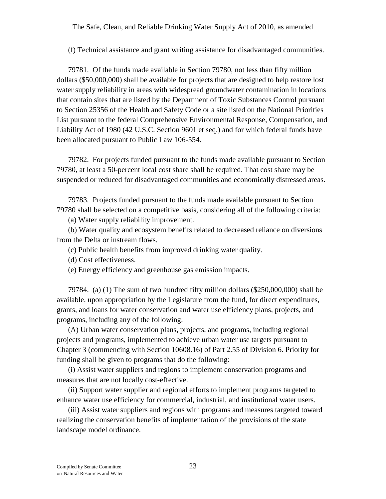(f) Technical assistance and grant writing assistance for disadvantaged communities.

79781. Of the funds made available in Section 79780, not less than fifty million dollars (\$50,000,000) shall be available for projects that are designed to help restore lost water supply reliability in areas with widespread groundwater contamination in locations that contain sites that are listed by the Department of Toxic Substances Control pursuant to Section 25356 of the Health and Safety Code or a site listed on the National Priorities List pursuant to the federal Comprehensive Environmental Response, Compensation, and Liability Act of 1980 (42 U.S.C. Section 9601 et seq.) and for which federal funds have been allocated pursuant to Public Law 106-554.

79782. For projects funded pursuant to the funds made available pursuant to Section 79780, at least a 50-percent local cost share shall be required. That cost share may be suspended or reduced for disadvantaged communities and economically distressed areas.

79783. Projects funded pursuant to the funds made available pursuant to Section 79780 shall be selected on a competitive basis, considering all of the following criteria:

(a) Water supply reliability improvement.

(b) Water quality and ecosystem benefits related to decreased reliance on diversions from the Delta or instream flows.

(c) Public health benefits from improved drinking water quality.

(d) Cost effectiveness.

(e) Energy efficiency and greenhouse gas emission impacts.

79784. (a) (1) The sum of two hundred fifty million dollars (\$250,000,000) shall be available, upon appropriation by the Legislature from the fund, for direct expenditures, grants, and loans for water conservation and water use efficiency plans, projects, and programs, including any of the following:

(A) Urban water conservation plans, projects, and programs, including regional projects and programs, implemented to achieve urban water use targets pursuant to Chapter 3 (commencing with Section 10608.16) of Part 2.55 of Division 6. Priority for funding shall be given to programs that do the following:

(i) Assist water suppliers and regions to implement conservation programs and measures that are not locally cost-effective.

(ii) Support water supplier and regional efforts to implement programs targeted to enhance water use efficiency for commercial, industrial, and institutional water users.

(iii) Assist water suppliers and regions with programs and measures targeted toward realizing the conservation benefits of implementation of the provisions of the state landscape model ordinance.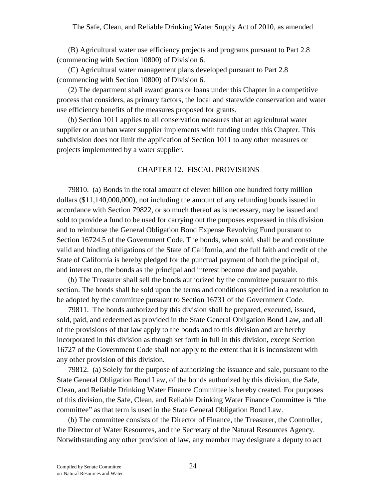(B) Agricultural water use efficiency projects and programs pursuant to Part 2.8 (commencing with Section 10800) of Division 6.

(C) Agricultural water management plans developed pursuant to Part 2.8 (commencing with Section 10800) of Division 6.

(2) The department shall award grants or loans under this Chapter in a competitive process that considers, as primary factors, the local and statewide conservation and water use efficiency benefits of the measures proposed for grants.

(b) Section 1011 applies to all conservation measures that an agricultural water supplier or an urban water supplier implements with funding under this Chapter. This subdivision does not limit the application of Section 1011 to any other measures or projects implemented by a water supplier.

#### CHAPTER 12. FISCAL PROVISIONS

79810. (a) Bonds in the total amount of eleven billion one hundred forty million dollars (\$11,140,000,000), not including the amount of any refunding bonds issued in accordance with Section 79822, or so much thereof as is necessary, may be issued and sold to provide a fund to be used for carrying out the purposes expressed in this division and to reimburse the General Obligation Bond Expense Revolving Fund pursuant to Section 16724.5 of the Government Code. The bonds, when sold, shall be and constitute valid and binding obligations of the State of California, and the full faith and credit of the State of California is hereby pledged for the punctual payment of both the principal of, and interest on, the bonds as the principal and interest become due and payable.

(b) The Treasurer shall sell the bonds authorized by the committee pursuant to this section. The bonds shall be sold upon the terms and conditions specified in a resolution to be adopted by the committee pursuant to Section 16731 of the Government Code.

79811. The bonds authorized by this division shall be prepared, executed, issued, sold, paid, and redeemed as provided in the State General Obligation Bond Law, and all of the provisions of that law apply to the bonds and to this division and are hereby incorporated in this division as though set forth in full in this division, except Section 16727 of the Government Code shall not apply to the extent that it is inconsistent with any other provision of this division.

79812. (a) Solely for the purpose of authorizing the issuance and sale, pursuant to the State General Obligation Bond Law, of the bonds authorized by this division, the Safe, Clean, and Reliable Drinking Water Finance Committee is hereby created. For purposes of this division, the Safe, Clean, and Reliable Drinking Water Finance Committee is "the committee" as that term is used in the State General Obligation Bond Law.

(b) The committee consists of the Director of Finance, the Treasurer, the Controller, the Director of Water Resources, and the Secretary of the Natural Resources Agency. Notwithstanding any other provision of law, any member may designate a deputy to act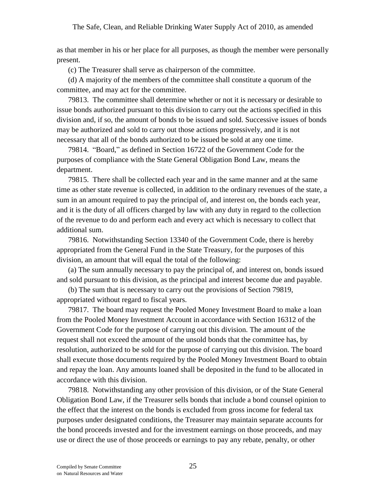as that member in his or her place for all purposes, as though the member were personally present.

(c) The Treasurer shall serve as chairperson of the committee.

(d) A majority of the members of the committee shall constitute a quorum of the committee, and may act for the committee.

79813. The committee shall determine whether or not it is necessary or desirable to issue bonds authorized pursuant to this division to carry out the actions specified in this division and, if so, the amount of bonds to be issued and sold. Successive issues of bonds may be authorized and sold to carry out those actions progressively, and it is not necessary that all of the bonds authorized to be issued be sold at any one time.

79814. "Board," as defined in Section 16722 of the Government Code for the purposes of compliance with the State General Obligation Bond Law, means the department.

79815. There shall be collected each year and in the same manner and at the same time as other state revenue is collected, in addition to the ordinary revenues of the state, a sum in an amount required to pay the principal of, and interest on, the bonds each year, and it is the duty of all officers charged by law with any duty in regard to the collection of the revenue to do and perform each and every act which is necessary to collect that additional sum.

79816. Notwithstanding Section 13340 of the Government Code, there is hereby appropriated from the General Fund in the State Treasury, for the purposes of this division, an amount that will equal the total of the following:

(a) The sum annually necessary to pay the principal of, and interest on, bonds issued and sold pursuant to this division, as the principal and interest become due and payable.

(b) The sum that is necessary to carry out the provisions of Section 79819, appropriated without regard to fiscal years.

79817. The board may request the Pooled Money Investment Board to make a loan from the Pooled Money Investment Account in accordance with Section 16312 of the Government Code for the purpose of carrying out this division. The amount of the request shall not exceed the amount of the unsold bonds that the committee has, by resolution, authorized to be sold for the purpose of carrying out this division. The board shall execute those documents required by the Pooled Money Investment Board to obtain and repay the loan. Any amounts loaned shall be deposited in the fund to be allocated in accordance with this division.

79818. Notwithstanding any other provision of this division, or of the State General Obligation Bond Law, if the Treasurer sells bonds that include a bond counsel opinion to the effect that the interest on the bonds is excluded from gross income for federal tax purposes under designated conditions, the Treasurer may maintain separate accounts for the bond proceeds invested and for the investment earnings on those proceeds, and may use or direct the use of those proceeds or earnings to pay any rebate, penalty, or other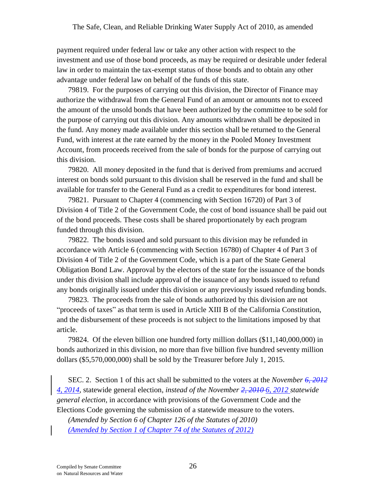payment required under federal law or take any other action with respect to the investment and use of those bond proceeds, as may be required or desirable under federal law in order to maintain the tax-exempt status of those bonds and to obtain any other advantage under federal law on behalf of the funds of this state.

79819. For the purposes of carrying out this division, the Director of Finance may authorize the withdrawal from the General Fund of an amount or amounts not to exceed the amount of the unsold bonds that have been authorized by the committee to be sold for the purpose of carrying out this division. Any amounts withdrawn shall be deposited in the fund. Any money made available under this section shall be returned to the General Fund, with interest at the rate earned by the money in the Pooled Money Investment Account, from proceeds received from the sale of bonds for the purpose of carrying out this division.

79820. All money deposited in the fund that is derived from premiums and accrued interest on bonds sold pursuant to this division shall be reserved in the fund and shall be available for transfer to the General Fund as a credit to expenditures for bond interest.

79821. Pursuant to Chapter 4 (commencing with Section 16720) of Part 3 of Division 4 of Title 2 of the Government Code, the cost of bond issuance shall be paid out of the bond proceeds. These costs shall be shared proportionately by each program funded through this division.

79822. The bonds issued and sold pursuant to this division may be refunded in accordance with Article 6 (commencing with Section 16780) of Chapter 4 of Part 3 of Division 4 of Title 2 of the Government Code, which is a part of the State General Obligation Bond Law. Approval by the electors of the state for the issuance of the bonds under this division shall include approval of the issuance of any bonds issued to refund any bonds originally issued under this division or any previously issued refunding bonds.

79823. The proceeds from the sale of bonds authorized by this division are not "proceeds of taxes" as that term is used in Article XIII B of the California Constitution, and the disbursement of these proceeds is not subject to the limitations imposed by that article.

79824. Of the eleven billion one hundred forty million dollars (\$11,140,000,000) in bonds authorized in this division, no more than five billion five hundred seventy million dollars (\$5,570,000,000) shall be sold by the Treasurer before July 1, 2015.

SEC. 2. Section 1 of this act shall be submitted to the voters at the *November 6, 2012 4, 2014,* statewide general election, *instead of the November 2, 2010 6, 2012 statewide general election,* in accordance with provisions of the Government Code and the Elections Code governing the submission of a statewide measure to the voters.

*(Amended by Section 6 of Chapter 126 of the Statutes of 2010) (Amended by Section 1 of Chapter 74 of the Statutes of 2012)*